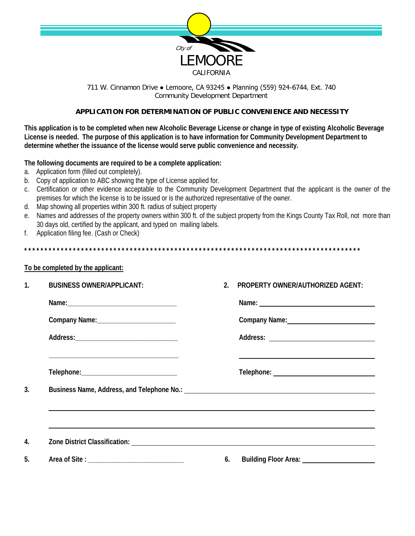

## 711 W. Cinnamon Drive . Lemoore, CA 93245 . Planning (559) 924-6744, Ext. 740 **Community Development Department**

## APPLICATION FOR DETERMINATION OF PUBLIC CONVENIENCE AND NECESSITY

This application is to be completed when new Alcoholic Beverage License or change in type of existing Alcoholic Beverage License is needed. The purpose of this application is to have information for Community Development Department to determine whether the issuance of the license would serve public convenience and necessity.

## The following documents are required to be a complete application:

- a. Application form (filled out completely).
- b. Copy of application to ABC showing the type of License applied for.
- c. Certification or other evidence acceptable to the Community Development Department that the applicant is the owner of the premises for which the license is to be issued or is the authorized representative of the owner.
- d. Map showing all properties within 300 ft. radius of subject property
- e. Names and addresses of the property owners within 300 ft. of the subject property from the Kings County Tax Roll, not more than 30 days old, certified by the applicant, and typed on mailing labels.
- Application filing fee. (Cash or Check) f.

## To be completed by the applicant:

| $\mathbf{1}$ . | <b>BUSINESS OWNER/APPLICANT:</b> | 2 <sub>1</sub> | <b>PROPERTY OWNER/AUTHORIZED AGENT:</b>                                                                          |
|----------------|----------------------------------|----------------|------------------------------------------------------------------------------------------------------------------|
|                |                                  |                |                                                                                                                  |
|                |                                  |                | Company Name: 1988                                                                                               |
|                |                                  |                |                                                                                                                  |
|                |                                  |                | and the control of the control of the control of the control of the control of the control of the control of the |
| 3.             |                                  |                |                                                                                                                  |
|                |                                  |                |                                                                                                                  |
| 4.             |                                  |                |                                                                                                                  |
| 5.             |                                  |                | 6. Building Floor Area: 1988 1999                                                                                |